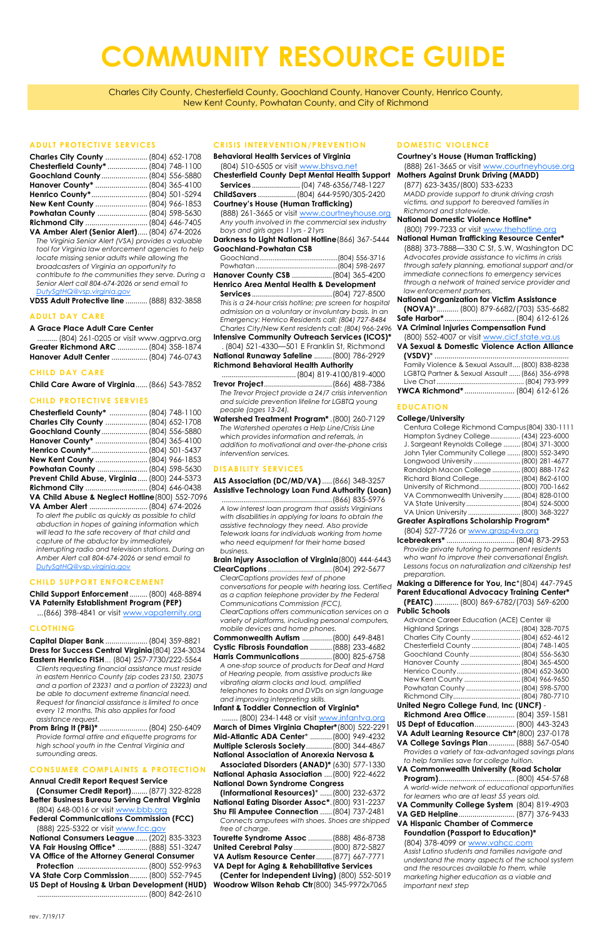# **ADULT PROTECTIVE SERVICES**

| Charles City County  (804) 652-1708          |  |
|----------------------------------------------|--|
| Chesterfield County*  (804) 748-1100         |  |
| Goochland County  (804) 556-5880             |  |
| Hanover County*  (804) 365-4100              |  |
|                                              |  |
| New Kent County  (804) 966-1853              |  |
| Powhatan County  (804) 598-5630              |  |
|                                              |  |
| VA Amber Alert (Senior Alert) (804) 674-2026 |  |

*The Virginia Senior Alert (VSA) provides a valuable tool for Virginia law enforcement agencies to help locate missing senior adults while allowing the broadcasters of Virginia an opportunity to contribute to the communities they serve. During a Senior Alert call 804-674-2026 or send email to [DutySgtHQ@vsp.virginia.gov](mailto:DutySgtHQ@vsp.virginia.gov)*

**VDSS Adult Protective line**...........(888) 832-3858

#### **ADULT DAY CARE**

# **A Grace Place Adult Care Center**

| (804) 261-0205 or visit www.agprva.org |  |
|----------------------------------------|--|
| Greater Richmond ARC  (804) 358-1874   |  |
| Hanover Adult Center  (804) 746-0743   |  |

#### **CHILD DAY CARE**

**Child Care Aware of Virginia**......(866) 543-7852

# **CHILD PROTECTIVE SERVIES**

| Chesterfield County*  (804) 748-1100            |  |
|-------------------------------------------------|--|
| Charles City County  (804) 652-1708             |  |
| Goochland County  (804) 556-5880                |  |
| Hanover County*  (804) 365-4100                 |  |
| Henrico County* (804) 501-5437                  |  |
| New Kent County  (804) 966-1853                 |  |
| Powhatan County  (804) 598-5630                 |  |
| Prevent Child Abuse, Virginia (800) 244-5373    |  |
|                                                 |  |
| VA Child Abuse & Neglect Hotline (800) 552-7096 |  |
|                                                 |  |

**VA Amber Alert** .............................(804) 674-2026 *To alert the public as quickly as possible to child abduction in hopes of gaining information which will lead to the safe recovery of that child and capture of the abductor by immediately interrupting radio and television stations. During an Amber Alert call 804-674-2026 or send email to [DutySgtHQ@vsp.virginia.gov](mailto:DutySgtHQ@vsp.virginia.gov)*

#### **CHILD SUPPORT ENFORCEMENT**

**Child Support Enforcement**.........(800) 468-8894 **VA Paternity Establishment Program (PEP)**

...(866) 398-4841 or visit [www.vapaternity.org](http://vapaternity.org)

# **CLOTHING**

**Capital Diaper Bank** .....................(804) 359-8821 **Dress for Success Central Virginia**(804) 234-3034 **Eastern Henrico FISH***...* (804) 257-7730/222-5564 *Clients requesting financial assistance must reside* 

*in eastern Henrico County (zip codes 23150, 23075 and a portion of 23231 and a portion of 23223) and* 

*be able to document extreme financial need. Request for financial assistance is limited to once every 12 months. This also applies for food assistance request.*

**Prom Bring It (PBI)\*** ........................(804) 250-6409 *Provide formal attire and etiquette programs for high school youth in the Central Virginia and surrounding areas.* 

# **CONSUMER COMPLAINTS & PROTECTION**

#### **Annual Credit Report Request Service**

**(Consumer Credit Report)**........(877) 322-8228 **Better Business Bureau Serving Central Virginia**

(804) 648-0016 or visit [www.bbb.org](http://www.bbb.org) **Federal Communications Commission (FCC)**

(888) 225-5322 or visit [www.fcc.gov](http://www.fcc.gov)

| National Consumers League  (202) 835-3323    |  |  |  |
|----------------------------------------------|--|--|--|
| VA Fair Housing Office*  (888) 551-3247      |  |  |  |
| VA Office of the Attorney General Consumer   |  |  |  |
|                                              |  |  |  |
| VA State Corp Commission (800) 552-7945      |  |  |  |
| US Dept of Housing & Urban Development (HUD) |  |  |  |
|                                              |  |  |  |

........ (800) 234-1448 or visit [www.infantva.org](http://www.infantva.org) **March of Dimes Virginia Chapter\***(800) 522-2291 **Mid-Atlantic ADA Center**\* ...........(800) 949-4232 **Multiple Sclerosis Society**.............(800) 344-4867 **National Association of Anorexia Nervosa & Associated Disorders (ANAD)\*** (630) 577-1330 **National Aphasia Association** ....(800) 922-4622 **National Down Syndrome Congress** 

# **CRISIS INTERVENTION/PREVENTION**

| <b>Behavioral Health Services of Virginia</b>                                                  |  |  |
|------------------------------------------------------------------------------------------------|--|--|
| (804) 510-6505 or visit www.bhsva.net                                                          |  |  |
| <b>Chesterfield County Dept Mental Health Support</b>                                          |  |  |
|                                                                                                |  |  |
| ChildSavers  (804) 644-9590/305-2420                                                           |  |  |
| <b>Courtney's House (Human Trafficking)</b>                                                    |  |  |
| (888) 261-3665 or visit www.courtneyhouse.org                                                  |  |  |
| Any youth involved in the commercial sex industry                                              |  |  |
| boys and girls ages 11yrs - 21yrs                                                              |  |  |
| Darkness to Light National Hotline (866) 367-5444                                              |  |  |
| <b>Goochland-Powhatan CSB</b>                                                                  |  |  |
|                                                                                                |  |  |
|                                                                                                |  |  |
| Hanover County CSB  (804) 365-4200                                                             |  |  |
| Henrico Area Mental Health & Development                                                       |  |  |
|                                                                                                |  |  |
| This is a 24-hour crisis hotline; pre screen for hospital                                      |  |  |
| admission on a voluntary or involuntary basis. In an                                           |  |  |
| Emergency: Henrico Residents call: (804) 727-8484                                              |  |  |
| Charles City/New Kent residents call: (804) 966-2496                                           |  |  |
| Intensive Community Outreach Services (ICOS)*                                                  |  |  |
| . (804) 521-4330-501 E Franklin St, Richmond                                                   |  |  |
| National Runaway Safeline  (800) 786-2929                                                      |  |  |
| <b>Richmond Behavioral Health Authority</b>                                                    |  |  |
| (804) 819-4100/819-4000                                                                        |  |  |
|                                                                                                |  |  |
| The Trevor Project provide a 24/7 crisis intervention                                          |  |  |
| and suicide prevention lifeline for LGBTQ young                                                |  |  |
| people (ages 13-24).                                                                           |  |  |
| Watershed Treatment Program*. (800) 260-7129<br>The Watershed operates a Help Line/Crisis Line |  |  |
| which provides information and referrals, in                                                   |  |  |
| addition to motivational and over-the-phone crisis                                             |  |  |
| intervention services.                                                                         |  |  |

#### **DISABILITY SERVICES**

**ALS Association (DC/MD/VA)**.....(866) 348-3257 **Assistive Technology Loan Fund Authority (Loan)**

.......................................................(866) 835-5976 *A low interest loan program that assists Virginians with disabilities in applying for loans to obtain the assistive technology they need. Also provide Telework loans for individuals working from home who need equipment for their home based business.* 

**Brain Injury Association of Virginia**(800) 444-6443 **ClearCaptions** ................................(804) 292-5677 *ClearCaptions provides text of phone as a caption telephone provider by the Federal Communications Commission (FCC), ClearCaptions offers communication services on a variety of platforms, including personal computers, mobile devices and home phones.*  **Commonwealth Autism** ...............(800) 649-8481

| Cystic Fibrosis Foundation  (888) 233-4682 |  |
|--------------------------------------------|--|
| Harris Communications (800) 825-6758       |  |

*A one-stop source of products for Deaf and Hard of Hearing people, from assistive products like vibrating alarm clocks and loud, amplified* 

*telephones to books and DVDs on sign language and improving interpreting skills.* 

# **Infant & Toddler Connection of Virginia\***

**(Informational Resources)**\* ......(800) 232-6372 **National Eating Disorder Assoc\***.(800) 931-2237 **Shu Fli Amputee Connection** ......(804) 737-2481 *Connects amputees with shoes. Shoes are shipped free of charge.* 

|     | Tourette Syndrome Assoc  (888) 486-8738        |
|-----|------------------------------------------------|
|     | <b>United Cerebral Palsy  (800) 872-5827</b>   |
|     | VA Autism Resource Center (877) 667-7771       |
|     | VA Dept for Aging & Rehabilitative Services    |
|     | (Center for Independent Living) (800) 552-5019 |
| ) ነ | Woodrow Wilson Rehab Ctr (800) 345-9972x7065   |

#### **DOMESTIC VIOLENCE**

# *conversations for people with hearing loss. Certified*  **Making a Difference for You, Inc**\*(804) 447-7945 **Parent Educational Advocacy Training Center\* (PEATC)** ............ (800) 869-6782/(703) 569-6200

|           | <b>Courtney's House (Human Trafficking)</b>              |  |
|-----------|----------------------------------------------------------|--|
|           |                                                          |  |
|           | (888) 261-3665 or visit www.courtneyhouse.org            |  |
| ort.      | <b>Mothers Against Drunk Driving (MADD)</b>              |  |
|           | (877) 623-3435/(800) 533-6233                            |  |
| )         | MADD provide support to drunk driving crash              |  |
|           | victims, and support to bereaved families in             |  |
| <u>rg</u> | Richmond and statewide.                                  |  |
| y         | <b>National Domestic Violence Hotline*</b>               |  |
|           | (800) 799-7233 or visit www.thehotline.org               |  |
| 14        | National Human Trafficking Resource Center*              |  |
|           | (888) 373-7888-330 C St, S.W, Washington DC              |  |
| 5         | Advocates provide assistance to victims in crisis        |  |
| 7         | through safety planning, emotional support and/or        |  |
|           | immediate connections to emergency services              |  |
|           | through a network of trained service provider and        |  |
| ١         | law enforcement partners.                                |  |
|           | <b>National Organization for Victim Assistance</b>       |  |
| al        | $(NOVA)*$ (800) 879-6682/(703) 535-6682                  |  |
| 'n        |                                                          |  |
| 4         |                                                          |  |
| 96        | <b>VA Criminal Injuries Compensation Fund</b>            |  |
| ;)*       | (800) 552-4007 or visit www.cicf.state.va.us             |  |
| ł         | <b>VA Sexual &amp; Domestic Violence Action Alliance</b> |  |
|           |                                                          |  |
|           | Family Violence & Sexual Assault (800) 838-8238          |  |
|           | LGBTQ Partner & Sexual Assault  (866) 356-6998           |  |
|           |                                                          |  |
|           | YWCA Richmond*  (804) 612-6126                           |  |

# **EDUCATION**

#### **College/University**

|                                                 | Centura College Richmond Campus (804) 330-1111 |  |
|-------------------------------------------------|------------------------------------------------|--|
|                                                 | Hampton Sydney College (434) 223-6000          |  |
|                                                 | J. Sargeant Reynolds College  (804) 371-3000   |  |
|                                                 | John Tyler Community College  (800) 552-3490   |  |
|                                                 | Longwood University  (800) 281-4677            |  |
|                                                 | Randolph Macon College  (800) 888-1762         |  |
|                                                 | Richard Bland College (804) 862-6100           |  |
|                                                 | University of Richmond (800) 700-1662          |  |
|                                                 | VA Commonwealth University (804) 828-0100      |  |
|                                                 | VA State University (804) 524-5000             |  |
|                                                 | VA Union University  (800) 368-3227            |  |
| <b>Greater Aspirations Scholarship Program*</b> |                                                |  |
|                                                 | (804) 527-7726 or www.grasp4va.org             |  |

**Icebreakers\*** .................................. (804) 873-2953 *Provide private tutoring to permanent residents who want to improve their conversational English. Lessons focus on naturalization and citizenship test preparation.*

**Public Schools**

| Advance Career Education (ACE) Center @ |  |  |
|-----------------------------------------|--|--|
| Highland Springs  (804) 328-7075        |  |  |
| Charles City County  (804) 652-4612     |  |  |
| Chesterfield County  (804) 748-1405     |  |  |
|                                         |  |  |
| Hanover County  (804) 365-4500          |  |  |
|                                         |  |  |
| New Kent County  (804) 966-9650         |  |  |
| Powhatan County  (804) 598-5700         |  |  |
|                                         |  |  |
| United Negro College Fund, Inc (UNCF) - |  |  |
| Richmond Area Office (804) 359-1581     |  |  |
|                                         |  |  |

**US Dept of Education**.................... (800) 443-3243 **VA Adult Learning Resource Ctr\***(800) 237-0178 **VA College Savings Plan**............. (888) 567-0540 *Provides a variety of tax-advantaged savings plans to help families save for college tuition.*  **VA Commonwealth University (Road Scholar Program)**...................................... (800) 454-5768 *A world-wide network of educational opportunities for learners who are at least 55 years old.*  **VA Community College System** (804) 819-4903 **VA GED Helpline**............................ (877) 376-9433 **VA Hispanic Chamber of Commerce Foundation (Passport to Education)\*** (804) 378-4099 or [www.vahcc.com](http://www.vahcc.com) *Assist Latino students and families navigate and understand the many aspects of the school system and the resources available to them, while marketing higher education as a viable and* 

*important next step* 

# **COMMUNITY RESOURCE GUIDE**

Charles City County, Chesterfield County, Goochland County, Hanover County, Henrico County, New Kent County, Powhatan County, and City of Richmond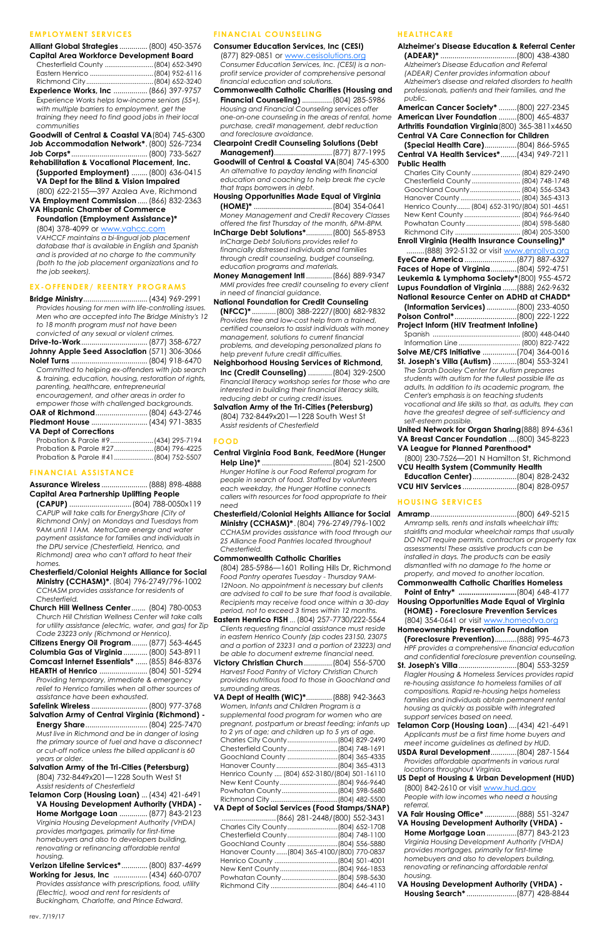# **EMPLOYMENT SERVICES**

| Alliant Global Strategies  (800) 450-3576       |                |
|-------------------------------------------------|----------------|
| <b>Capital Area Workforce Development Board</b> |                |
| Chesterfield County  (804) 652-3490             |                |
|                                                 |                |
|                                                 |                |
| Experience Works Inc.                           | (866) 397-9757 |

**Experience Works, Inc** .................(866) 397-9757 E*xperience Works helps low-income seniors (55+), with multiple barriers to employment, get the training they need to find good jobs in their local communities* 

**Goodwill of Central & Coastal VA**(804) 745-6300 **Job Accommodation Network\***.(800) 526-7234 **Job Corps\***......................................(800) 733-5627

**Rehabilitation & Vocational Placement, Inc. (Supported Employment)** ........(800) 636-0415 **VA Dept for the Blind & Vision Impaired**

(800) 622-2155—397 Azalea Ave, Richmond **VA Employment Commission**.....(866) 832-2363

**VA Hispanic Chamber of Commerce** 

**Foundation (Employment Assistance)\***

(804) 378-4099 or [www.vahcc.com](http://www.vahcc.com) *VAHCCF maintains a bi-lingual job placement database that is available in English and Spanish and is provided at no charge to the community (both to the job placement organizations and to* 

*the job seekers).* 

# **EX-OFFENDER/ REENTRY PROGRAMS**

**Bridge Ministry**................................(434) 969-2991 *Provides housing for men with life-controlling issues. Men who are accepted into The Bridge Ministry's 12 to 18 month program must not have been convicted of any sexual or violent crimes.*

**Drive-to-Work**.................................(877) 358-6727 **Johnny Apple Seed Association** (571) 306-3066

**Nolef Turns** ......................................(804) 918-6470 *Committed to helping ex-offenders with job search & training, education, housing, restoration of rights, parenting, healthcare, entrepreneurial encouragement, and other areas in order to empower those with challenged backgrounds.*  **OAR of Richmond**..........................(804) 643-2746

| Piedmont House  (434) 971-3835 |                  |  |
|--------------------------------|------------------|--|
| <b>VA Dept of Corrections</b>  |                  |  |
| Probation & Parole #9          | $(434)$ 295-7194 |  |

| Probation & Parole #27 (804) 796-4225 |  |
|---------------------------------------|--|
|                                       |  |

# **FINANCIAL ASSISTANCE**

**Assurance Wireless** .......................(888) 898-4888 **Capital Area Partnership Uplifting People** 

**(CAPUP)** ...............................(804) 788-0050x119 *CAPUP will take calls for EnergyShare (City of Richmond Only) on Mondays and Tuesdays from 9AM until 11AM. MetroCare energy and water payment assistance for families and individuals in the DPU service (Chesterfield, Henrico, and Richmond) area who can't afford to heat their homes.*

- **Chesterfield/Colonial Heights Alliance for Social Ministry (CCHASM)\***. (804) 796-2749/796-1002 *CCHASM provides assistance for residents of Chesterfield.*
- **Church Hill Wellness Center**....... (804) 780-0053 *Church Hill Christian Wellness Center will take calls for utility assistance (electric, water, and gas) for Zip Code 23223 only (Richmond or Henrico).*

| Code 23223 only (Richmond of Henrico).       |  |
|----------------------------------------------|--|
| Citizens Energy Oil Program (877) 563-4645   |  |
| Columbia Gas of Virginia  (800) 543-8911     |  |
| Comcast Internet Essentials*  (855) 846-8376 |  |
| HEARTH of Henrico  (804) 501-5294            |  |

*Providing temporary, immediate & emergency relief to Henrico families when all other sources of assistance have been exhausted.* 

| <b>Salvation Army of Central Virginia (Richmond) -</b> |  |
|--------------------------------------------------------|--|
|                                                        |  |

*Must live in Richmond and be in danger of losing the primary source of fuel and have a disconnect or cut-off notice unless the billed applicant is 60 years or older.*

# **Salvation Army of the Tri-Cities (Petersburg)**

(804) 732-8449x201—1228 South West St *Assist residents of Chesterfield*

**Telamon Corp (Housing Loan)** ...(434) 421-6491 **VA Housing Development Authority (VHDA) - Home Mortgage Loan** ..............(877) 843-2123 *Virginia Housing Development Authority (VHDA) provides mortgages, primarily for first-time homebuyers and also to developers building, renovating or refinancing affordable rental housing.* 

**Verizon Lifeline Services\***.............(800) 837-4699 **Working for Jesus, Inc** .................(434) 660-0707 *Provides assistance with prescriptions, food, utility (Electric), wood and rent for residents of Buckingham, Charlotte, and Prince Edward.*

# **FINANCIAL COUNSELING**

**Consumer Education Services, Inc (CESI)** (877) 829-0851 or [www.cesisolutions.org](http://www.cesisolutions.org) *Consumer Education Services, Inc. (CESI) is a nonprofit service provider of comprehensive personal financial education and solutions.*

- **Commonwealth Catholic Charities (Housing and Financial Counseling)** ...............(804) 285-5986 *Housing and Financial Counseling services offer one-on-one counseling in the areas of rental, home purchase, credit management, debt reduction and foreclosure avoidance.*
- **Clearpoint Credit Counseling Solutions (Debt Management)**.............................(877) 877-1995
- **Goodwill of Central & Coastal VA**(804) 745-6300 *An alternative to payday lending with financial education and coaching to help break the cycle that traps borrowers in debt.*
- **Housing Opportunities Made Equal of Virginia (HOME)\*** .......................................(804) 354-0641 *Money Management and Credit Recovery Classes offered the first Thursday of the month, 6PM-8PM.* **InCharge Debt Solutions\***.............(800) 565-8953

*InCharge Debt Solutions provides relief to financially distressed individuals and families through credit counseling, budget counseling, education programs and materials.* 

**Money Management Intl** .............(866) 889-9347 *MMI provides free credit counseling to every client in need of financial guidance.*

- **National Foundation for Credit Counseling (NFCC)\*** ............(800) 388-2227/(800) 682-9832 *Provides free and low-cost help from a trained, certified counselors to assist individuals with money management, solutions to current financial problems, and developing personalized plans to help prevent future credit difficulties.*
- **Neighborhood Housing Services of Richmond, Inc (Credit Counseling)** ............(804) 329-2500 *Financial literacy workshop series for those who are interested in building their financial literacy skills, reducing debt or curing credit issues.*
- **Salvation Army of the Tri-Cities (Petersburg)** (804) 732-8449x201—1228 South West St *Assist residents of Chesterfield*

# **FOOD**

- **Central Virginia Food Bank, FeedMore (Hunger Help Line)\*** ...................................(804) 521-2500 *Hunger Hotline is our Food Referral program for people in search of food. Staffed by volunteers each weekday, the Hunger Hotline connects callers with resources for food appropriate to their need*
- **Chesterfield/Colonial Heights Alliance for Social Ministry (CCHASM)\*** .(804) 796-2749/796-1002 *CCHASM provides assistance with food through our 25 Alliance Food Pantries located throughout Chesterfield.*
- **Commonwealth Catholic Charities**
- (804) 285-5986—1601 Rolling Hills Dr, Richmond *Food Pantry operates Tuesday - Thursday 9AM-12Noon. No appointment is necessary but clients are advised to call to be sure that food is available. Recipients may receive food once within a 30-day period, not to exceed 3 times within 12 months.*
- **Eastern Henrico FISH** *...*(804) 257-7730/222-5564 *Clients requesting financial assistance must reside in eastern Henrico County (zip codes 23150, 23075 and a portion of 23231 and a portion of 23223) and be able to document extreme financial need.*
- **Victory Christian Church**..............(804) 556-5700 *Harvest Food Pantry of Victory Christian Church provides nutritious food to those in Goochland and surrounding areas.*

**VA Dept of Health (WIC)\***.............(888) 942-3663 *Women, Infants and Children Program is a supplemental food program for women who are pregnant, postpartum or breast feeding; infants up to 2 yrs of age; and children up to 5 yrs of age.*  Charles City County...........................(804) 829-2490 Chesterfield County...........................(804) 748-1691 Goochland County ...........................(804) 365-4335 Hanover County.................................(804) 365-4313 Henrico County .... (804) 652-3180/(804) 501-16110 New Kent County...............................(804) 966-9640 Powhatan County..............................(804) 598-5680 Richmond City ....................................(804) 482-5500 **VA Dept of Social Services (Food Stamps/SNAP)** ...........................(866) 281-2448/(800) 552-3431 Charles City County...........................(804) 652-1708 Chesterfield County...........................(804) 748-1100 Goochland County ...........................(804) 556-5880 Hanover County......(804) 365-4100/(800) 770-0837 Henrico County ..................................(804) 501-4001 New Kent County...............................(804) 966-1853 Powhatan County..............................(804) 598-5630 Richmond City ....................................(804) 646-4110

# **HEALTHCARE**

| NEALINVARE                                                 |  |
|------------------------------------------------------------|--|
| <b>Alzheimer's Disease Education &amp; Referral Center</b> |  |
|                                                            |  |
| Alzheimer's Disease Education and Referral                 |  |
| (ADEAR) Center provides information about                  |  |
| Alzheimer's disease and related disorders to health        |  |
| professionals, patients and their families, and the        |  |
|                                                            |  |
| public.                                                    |  |
| American Cancer Society* (800) 227-2345                    |  |
| American Liver Foundation  (800) 465-4837                  |  |
| Arthritis Foundation Virginia (800) 365-3811x4650          |  |
| <b>Central VA Care Connection for Children</b>             |  |
| (Special Health Care)(804) 866-5965                        |  |
| Central VA Health Services*(434) 949-7211                  |  |
|                                                            |  |
| <b>Public Health</b>                                       |  |
| Charles City County  (804) 829-2490                        |  |
| Chesterfield County  (804) 748-1748                        |  |
| Goochland County (804) 556-5343                            |  |
| Hanover County  (804) 365-4313                             |  |
| Henrico County (804) 652-3190/(804) 501-4651               |  |
| New Kent County  (804) 966-9640                            |  |
| Powhatan County  (804) 598-5680                            |  |
| Richmond City  (804) 205-3500                              |  |
| Enroll Virginia (Health Insurance Counseling)*             |  |
| (888) 392-5132 or visit www.enrollva.org                   |  |
| EyeCare America (877) 887-6327                             |  |
| Faces of Hope of Virginia(804) 592-4751                    |  |
| Leukemia & Lymphoma Society*(800) 955-4572                 |  |
|                                                            |  |
| Lupus Foundation of Virginia  (888) 262-9632               |  |
| National Resource Center on ADHD at CHADD*                 |  |
| (Information Services) (800) 233-4050                      |  |
|                                                            |  |
| Project Inform (HIV Treatment Infoline)                    |  |
|                                                            |  |
| Information Line  (800) 822-7422                           |  |
| Solve ME/CFS Initiative (704) 364-0016                     |  |
| St. Joseph's Villa (Autism) (804) 553-3241                 |  |
| The Sarah Dooley Center for Autism prepares                |  |
| students with autism for the fullest possible life as      |  |
| adults. In addition to its academic program, the           |  |
| Center's emphasis is on teaching students                  |  |
| vocational and life skills so that, as adults, they can    |  |
|                                                            |  |
| have the greatest degree of self-sufficiency and           |  |
| self-esteem possible.                                      |  |
| United Network for Organ Sharing (888) 894-6361            |  |
| VA Breast Cancer Foundation  (800) 345-8223                |  |
| VA League for Planned Parenthood*                          |  |
| (800) 230-7526-201 N Hamilton St, Richmond                 |  |
| <b>VCU Health System (Community Health</b>                 |  |
| <b>Education Center)</b> (804) 828-2432                    |  |
| VCU HIV Services (804) 828-0957                            |  |
|                                                            |  |
| <b>HOUSING SERVICES</b>                                    |  |
|                                                            |  |
|                                                            |  |
| Amramp sells, rents and installs wheelchair lifts;         |  |
| stairlifts and modular wheelchair ramps that usually       |  |
| DO NOT require permits, contractors or property tax        |  |
| assessments! These assistive products can be               |  |
| installed in days. The products can be easily              |  |
| dismantled with no damage to the home or                   |  |
| property, and moved to another location.                   |  |
| <b>Commonwealth Catholic Charities Homeless</b>            |  |
| Point of Entry* (804) 648-4177                             |  |
| <b>Housing Opportunities Made Equal of Virginia</b>        |  |
| (HOME) - Foreclosure Prevention Services                   |  |
|                                                            |  |
| (804) 354-0641 or visit www.homeofva.org                   |  |

- **Homeownership Preservation Foundation**
- **(Foreclosure Prevention)**...........(888) 995-4673 *HPF provides a comprehensive financial education and confidential foreclosure prevention counseling.*
- **St. Joseph's Villa**.............................(804) 553-3259 *Flagler Housing & Homeless Services provides rapid re-housing assistance to homeless families of all*

*compositions. Rapid re-housing helps homeless families and individuals obtain permanent rental housing as quickly as possible with integrated support services based on need.* 

**Telamon Corp (Housing Loan)**....(434) 421-6491 *Applicants must be a first time home buyers and meet income guidelines as defined by HUD.* 

**USDA Rural Development**.............(804) 287-1564 *Provides affordable apartments in various rural locations throughout Virginia.* 

**US Dept of Housing & Urban Development (HUD)** (800) 842-2610 or visit [www.hud.gov](http://www.hud.gov) *People with low incomes who need a housing referral.*

**VA Fair Housing Office\*** ................(888) 551-3247 **VA Housing Development Authority (VHDA) - Home Mortgage Loan** ...............(877) 843-2123 *Virginia Housing Development Authority (VHDA) provides mortgages, primarily for first-time homebuyers and also to developers building, renovating or refinancing affordable rental housing.* 

# **VA Housing Development Authority (VHDA) - Housing Search\*** .........................(877) 428-8844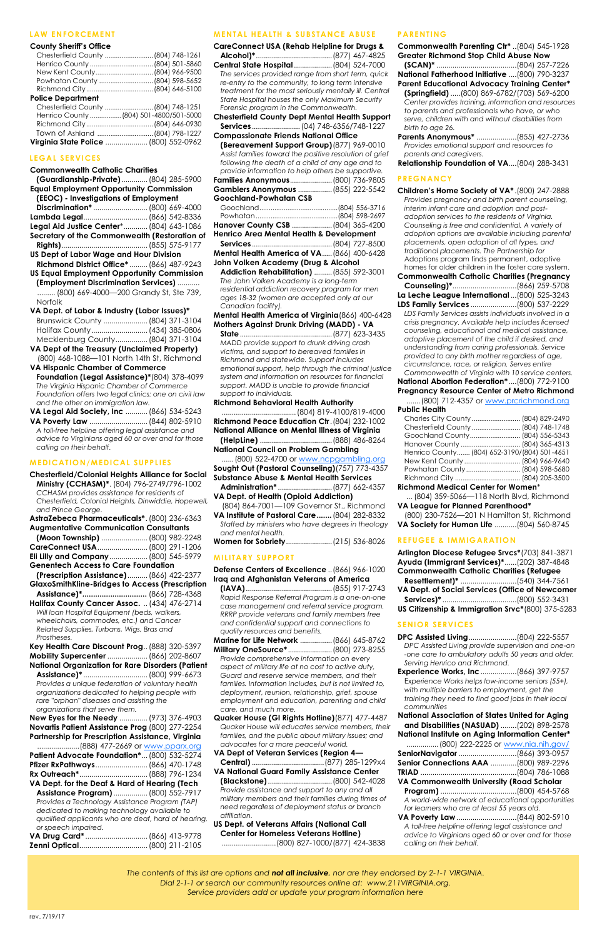rev. 7/19/17

# **LAW ENFORCEMENT**

#### **County Sheriff's Office**

|                          | Chesterfield County  (804) 748-1261     |
|--------------------------|-----------------------------------------|
|                          |                                         |
|                          | New Kent County (804) 966-9500          |
|                          | Powhatan County  (804) 598-5652         |
|                          |                                         |
| <b>Police Department</b> |                                         |
|                          | Chesterfield County  (804) 748-1251     |
|                          | Henrico County  (804) 501-4800/501-5000 |
|                          |                                         |
|                          | Town of Ashland (804) 798-1227          |

| Virginia State Police  (800) 552-0962 |  |
|---------------------------------------|--|

#### **LEGAL SERVICES**

| Commonwealth Catholic Charities                   |                  |
|---------------------------------------------------|------------------|
| (Guardianship-Private) (804) 285-5900             |                  |
| <b>Equal Employment Opportunity Commission</b>    |                  |
| (EEOC) - Investigations of Employment             |                  |
| Discrimination*  (800) 669-4000                   |                  |
| Lambda Legal (866) 542-8336                       |                  |
| Legal Aid Justice Center* (804) 643-1086          |                  |
| Secretary of the Commonwealth (Restoration of     |                  |
|                                                   |                  |
| <b>US Dept of Labor Wage and Hour Division</b>    |                  |
| Richmond District Office*  (866) 487-9243         |                  |
| <b>US Equal Employment Opportunity Commission</b> |                  |
| (Employment Discrimination Services)              |                  |
| (800) 669-4000-200 Grandy St, Ste 739,            |                  |
| Norfolk                                           |                  |
| VA Dept. of Labor & Industry (Labor Issues)*      |                  |
| Brunswick County  (804) 371-3104                  |                  |
| Halifay County                                    | $(131)$ 385-0806 |

| VA Dept of the Treasury (Unclaimed Property) |  |
|----------------------------------------------|--|
| Mecklenburg County (804) 371-3104            |  |
|                                              |  |

(800) 468-1088—101 North 14th St, Richmond **VA Hispanic Chamber of Commerce** 

**Foundation (Legal Assistance)\***(804) 378-4099 *The Virginia Hispanic Chamber of Commerce Foundation offers two legal clinics: one on civil law and the other on immigration law.* 

**VA Legal Aid Society, Inc** ...........(866) 534-5243 **VA Poverty Law** .............................(844) 802-5910

*A toll-free helpline offering legal assistance and advice to Virginians aged 60 or over and for those calling on their behalf.* 

#### **MEDICATION/MEDICAL SUPPLIES**

**Chesterfield/Colonial Heights Alliance for Social Ministry (CCHASM)\***. (804) 796-2749/796-1002 *CCHASM provides assistance for residents of Chesterfield, Colonial Heights, Dinwiddie, Hopewell, and Prince George.*  **AstraZebeca Pharmaceuticals\***.(800) 236-6363 **Augmentative Communication Consultants (Moon Township)** .......................(800) 982-2248

| CareConnect USA (800) 291-1206              |  |  |
|---------------------------------------------|--|--|
| <b>Eli Lilly and Company</b> (800) 545-5979 |  |  |
| <b>Genentech Access to Care Foundation</b>  |  |  |

- **(Prescription Assistance)**..........(866) 422-2377 **GlaxoSmithKline-Bridges to Access (Prescription**
- **Assistance)\*..............................** (866) 728-4368 **Halifax County Cancer Assoc.** ..(434) 476-2714
- *Will loan Hospital Equipment (beds, walkers, wheelchairs, commodes, etc.) and Cancer Related Supplies, Turbans, Wigs, Bras and Prostheses.*

**Key Health Care Discount Prog**..(888) 320-5397 **Mobility Supercenter** ....................(866) 202-8607 **National Organization for Rare Disorders (Patient** 

**Assistance)\*** ................................(800) 999-6673 *Provides a unique federation of voluntary health* 

*organizations dedicated to helping people with rare "orphan" diseases and assisting the organizations that serve them.* 

**New Eyes for the Needy** ..............(973) 376-4903 **Novartis Patient Assistance Prog** (800) 277-2254 **Partnership for Prescription Assistance, Virginia**

| Patient Advocate Foundation* (800) 532-5274   |  |
|-----------------------------------------------|--|
| Pfizer RxPathways (866) 470-1748              |  |
|                                               |  |
| VA Dept. for the Deaf & Hard of Hearing (Tech |  |

**Assistance Program)**.................(800) 552-7917 *Provides a Technology Assistance Program (TAP) dedicated to making technology available to qualified applicants who are deaf, hard of hearing, or speech impaired.* 

| VA Drug Card*  (866) 413-9778 |  |
|-------------------------------|--|
| Zenni Optical (800) 211-2105  |  |

# **MENTAL HEALTH & SUBSTANCE ABUSE CareConnect USA (Rehab Helpline for Drugs &**

**Alcohol)\***......................................(877) 467-4825 **Central State Hospital** ...................(804) 524-7000 *The services provided range from short term, quick re-entry to the community, to long term intensive treatment for the most seriously mentally ill. Central State Hospital houses the only Maximum Security Forensic program in the Commonwealth.*  **Chesterfield County Dept Mental Health Support** 

**Services**........................(04) 748-6356/748-1227 **Compassionate Friends National Office** 

**(Bereavement Support Group)**(877) 969-0010 *Assist families toward the positive resolution of grief following the death of a child of any age and to provide information to help others be supportive.* 

**Families Anonymous**.....................(800) 736-9805 **Gamblers Anonymous** .................(855) 222-5542 **Goochland-Powhatan CSB**

| Hanover County CSB  (804) 365-4200         |  |
|--------------------------------------------|--|
| Henrico Area Mental Health & Development   |  |
|                                            |  |
| Mental Health America of VA (866) 400-6428 |  |

**John Volken Academy (Drug & Alcohol Addiction Rehabilitation)** .........(855) 592-3001

*The John Volken Academy is a long-term residential addiction recovery program for men ages 18-32 (women are accepted only at our Canadian facility).* 

**Mental Health America of Virginia**(866) 400-6428 **Mothers Against Drunk Driving (MADD) - VA** 

**State**..............................................(877) 623-3435 *MADD provide support to drunk driving crash victims, and support to bereaved families in Richmond and statewide. Support includes emotional support, help through the criminal justice system and information on resources for financial support. MADD is unable to provide financial support to individuals.* 

# **Richmond Behavioral Health Authority**

.....................................(804) 819-4100/819-4000 **Richmond Peace Education Ctr**.(804) 232-1002 **National Alliance on Mental Illness of Virginia** 

**(HelpLine)** ....................................(888) 486-8264 **National Council on Problem Gambling**

......(800) 522-4700 or [www.ncpgambling.org](http://www.ncpgambling.org/)

**Sought Out (Pastoral Counseling)**(757) 773-4357 **Substance Abuse & Mental Health Services** 

- **Administration\*** ...........................(877) 662-4357 **VA Dept. of Health (Opioid Addiction)**
- (804) 864-7001—109 Governor St., Richmond **VA Institute of Pastoral Care.......**(804) 282-8332

*Staffed by ministers who have degrees in theology and mental health.* 

**Women for Sobriety**.......................(215) 536-8026

# **MILITARY SUPPORT**

**Defense Centers of Excellence** ..(866) 966-1020 **Iraq and Afghanistan Veterans of America** 

**(IAVA)**...........................................(855) 917-2743 *Rapid Response Referral Program is a one-on-one case management and referral service program. RRRP provide veterans and family members free and confidential support and connections to quality resources and benefits.* 

**Marine for Life Network** ................(866) 645-8762 **Military OneSource\***......................(800) 273-8255 *Provide comprehensive information on every aspect of military life at no cost to active duty, Guard and reserve service members, and their families. Information includes, but is not limited to,* 

*deployment, reunion, relationship, grief, spouse employment and education, parenting and child care, and much more.* 

**Quaker House (GI Rights Hotline)**(877) 477-4487 *Quaker House will educates service members, their families, and the public about military issues; and advocates for a more peaceful world.* 

**VA Dept of Veteran Services (Region 4— Central)**....................................(877) 285-1299x4 **VA National Guard Family Assistance Center (Blackstone)**................................(800) 542-4028 *Provide assistance and support to any and all military members and their families during times of need regardless of deployment status or branch affiliation.* 

# **US Dept. of Veterans Affairs (National Call Center for Homeless Veterans Hotline)**

...........................(800) 827-1000/(877) 424-3838

#### **PARENTING**

**Commonwealth Parenting Ctr\*** ..(804) 545-1928 **Greater Richmond Stop Child Abuse Now** 

**(SCAN)\*** ........................................(804) 257-7226 **National Fatherhood Initiative** ....(800) 790-3237

**Parent Educational Advocacy Training Center\* (Springfield)** .....(800) 869-6782/(703) 569-6200 *Center provides training, information and resources to parents and professionals who have, or who serve, children with and without disabilities from birth to age 26.* 

**Parents Anonymous\*** ....................(855) 427-2736 *Provides emotional support and resources to parents and caregivers.* 

**Relationship Foundation of VA**....(804) 288-3431

# **PREGNANCY**

**Children's Home Society of VA\*** .(800) 247-2888 *Provides pregnancy and birth parent counseling, interim infant care and adoption and postadoption services to the residents of Virginia. Counseling is free and confidential. A variety of adoption options are available including parental placements, open adoption of all types, and traditional placements. The Partnership for*  Adoptions program finds permanent, adoptive homes for older children in the foster care system.

**Commonwealth Catholic Charities (Pregnancy Counseling)\***................................(866) 259-5708 **La Leche League International** ...(800) 525-3243 **LDS Family Services** .......................(800) 537-2229 *LDS Family Services assists individuals involved in a* 

*crisis pregnancy. Available help includes licensed counseling, educational and medical assistance, adoptive placement of the child if desired, and understanding from caring professionals. Service provided to any birth mother regardless of age, circumstance, race, or religion. Serves entire* 

*Commonwealth of Virginia with 10 service centers.*  **National Abortion Federation\*** ....(800) 772-9100

**Pregnancy Resource Center of Metro Richmond**

| (800) 712-4357 or www.prcrichmond.org                |               |
|------------------------------------------------------|---------------|
| <b>Public Health</b>                                 |               |
| $C_{\text{bound}} \sim C_{\text{in}} C_{\text{out}}$ | 1001100000100 |

| Chesterfield County  (804) 748-1748          |  |
|----------------------------------------------|--|
| Goochland County (804) 556-5343              |  |
|                                              |  |
| Henrico County (804) 652-3190/(804) 501-4651 |  |
|                                              |  |
| Powhatan County (804) 598-5680               |  |
|                                              |  |
|                                              |  |

#### **Richmond Medical Center for Women**\*

... (804) 359-5066—118 North Blvd, Richmond **VA League for Planned Parenthood\***

(800) 230-7526—201 N Hamilton St, Richmond **VA Society for Human Life** ...........(804) 560-8745

#### **REFUGEE & IMMIGARATION**

**Arlington Diocese Refugee Srvcs\***(703) 841-3871 **Ayuda (Immigrant Services)\***......(202) 387-4848 **Commonwealth Catholic Charities (Refugee Resettlement)\*** ............................(540) 344-7561 **VA Dept. of Social Services (Office of Newcomer Services)\*** .....................................(800) 552-3431 **US Citizenship & Immigration Srvc\***(800) 375-5283

# **SENIOR SERVICES**

- **DPC Assisted Living**........................(804) 222-5557 *DPC Assisted Living provide supervision and one-on -one care to ambulatory adults 50 years and older. Serving Henrico and Richmond.*
- **Experience Works, Inc**..................(866) 397-9757 E*xperience Works helps low-income seniors (55+),*

*with multiple barriers to employment, get the training they need to find good jobs in their local communities* 

**National Association of States United for Aging and Disabilities (NASUAD)** ........(202) 898-2578 **National Institute on Aging Information Center\***

| (800) 222-2225 or www.nia.nih.gov/                 |  |  |  |  |
|----------------------------------------------------|--|--|--|--|
|                                                    |  |  |  |  |
| Senior Connections AAA (800) 989-2296              |  |  |  |  |
|                                                    |  |  |  |  |
| VA Commonwealth University (Road Scholar           |  |  |  |  |
|                                                    |  |  |  |  |
| A world-wide network of educational opportunities  |  |  |  |  |
| for learners who are at least 55 years old.        |  |  |  |  |
|                                                    |  |  |  |  |
| A toll-free helpline offering legal assistance and |  |  |  |  |
| advice to Virginians aged 60 or over and for those |  |  |  |  |
| calling on their behalf.                           |  |  |  |  |

*The contents of this list are options and not all inclusive, nor are they endorsed by 2-1-1 VIRGINIA. Dial 2-1-1 or search our community resources online at: www.211VIRGINIA.org. Service providers add or update your program information here*